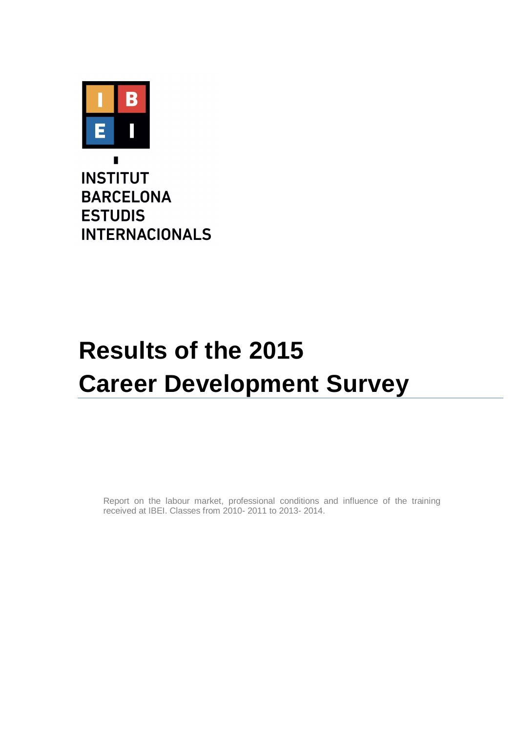

**INSTITUT BARCELONA ESTUDIS INTERNACIONALS** 

# **Results of the 2015 Career Development Survey**

Report on the labour market, professional conditions and influence of the training received at IBEI. Classes from 2010- 2011 to 2013- 2014.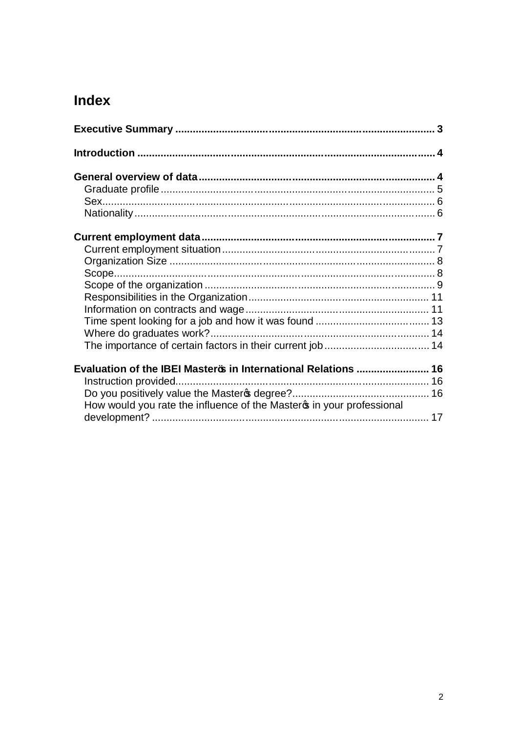# Index

| Evaluation of the IBEI MasterB in International Relations  16         |  |
|-----------------------------------------------------------------------|--|
|                                                                       |  |
|                                                                       |  |
| How would you rate the influence of the Masteros in your professional |  |
|                                                                       |  |
|                                                                       |  |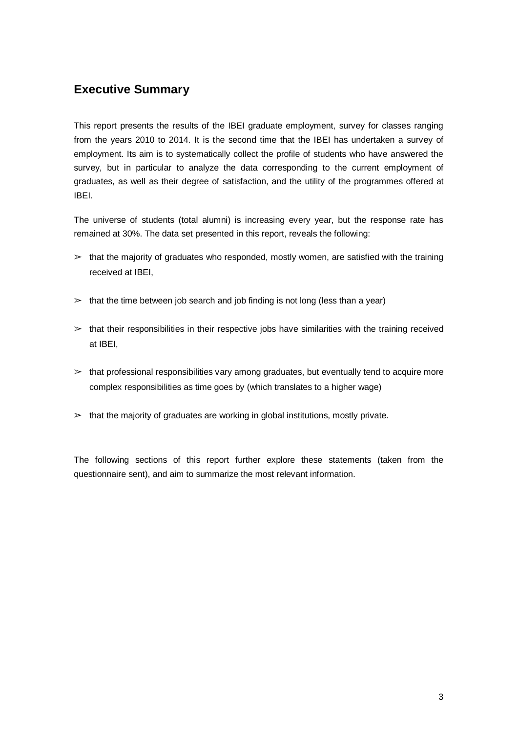## **Executive Summary**

This report presents the results of the IBEI graduate employment, survey for classes ranging from the years 2010 to 2014. It is the second time that the IBEI has undertaken a survey of employment. Its aim is to systematically collect the profile of students who have answered the survey, but in particular to analyze the data corresponding to the current employment of graduates, as well as their degree of satisfaction, and the utility of the programmes offered at IBEI.

The universe of students (total alumni) is increasing every year, but the response rate has remained at 30%. The data set presented in this report, reveals the following:

- $\geq$  that the majority of graduates who responded, mostly women, are satisfied with the training received at IBEI,
- $\geq$  that the time between job search and job finding is not long (less than a year)
- $\geq$  that their responsibilities in their respective jobs have similarities with the training received at IBEI,
- $\geq$  that professional responsibilities vary among graduates, but eventually tend to acquire more complex responsibilities as time goes by (which translates to a higher wage)
- $\geq$  that the majority of graduates are working in global institutions, mostly private.

The following sections of this report further explore these statements (taken from the questionnaire sent), and aim to summarize the most relevant information.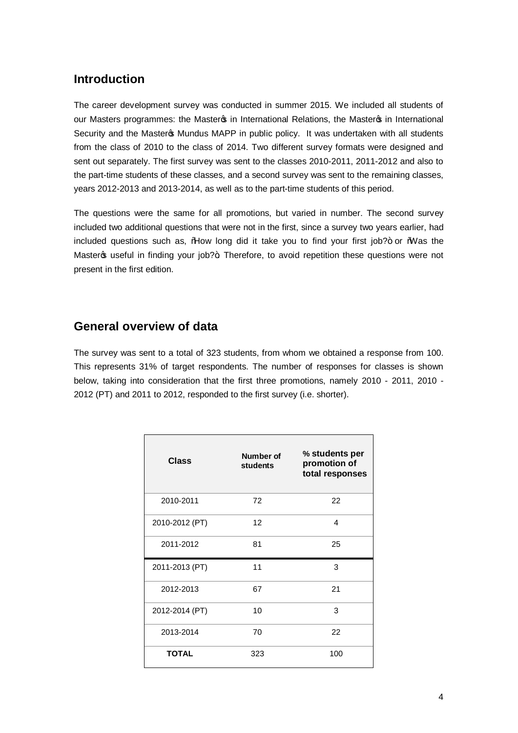#### **Introduction**

The career development survey was conducted in summer 2015. We included all students of our Masters programmes: the Master in International Relations, the Master os in International Security and the Masteros Mundus MAPP in public policy. It was undertaken with all students from the class of 2010 to the class of 2014. Two different survey formats were designed and sent out separately. The first survey was sent to the classes 2010-2011, 2011-2012 and also to the part-time students of these classes, and a second survey was sent to the remaining classes, years 2012-2013 and 2013-2014, as well as to the part-time students of this period.

The questions were the same for all promotions, but varied in number. The second survey included two additional questions that were not in the first, since a survey two years earlier, had included questions such as,  $\%$  dow long did it take you to find your first job?+ or  $\%$  as the Master os useful in finding your job?+. Therefore, to avoid repetition these questions were not present in the first edition.

#### **General overview of data**

The survey was sent to a total of 323 students, from whom we obtained a response from 100. This represents 31% of target respondents. The number of responses for classes is shown below, taking into consideration that the first three promotions, namely 2010 - 2011, 2010 - 2012 (PT) and 2011 to 2012, responded to the first survey (i.e. shorter).

| <b>Class</b>   | Number of<br>students | % students per<br>promotion of<br>total responses |
|----------------|-----------------------|---------------------------------------------------|
| 2010-2011      | 72                    | 22                                                |
| 2010-2012 (PT) | 12                    | 4                                                 |
| 2011-2012      | 81                    | 25                                                |
| 2011-2013 (PT) | 11                    | 3                                                 |
| 2012-2013      | 67                    | 21                                                |
| 2012-2014 (PT) | 10                    | 3                                                 |
| 2013-2014      | 70                    | 22                                                |
| <b>TOTAL</b>   | 323                   | 100                                               |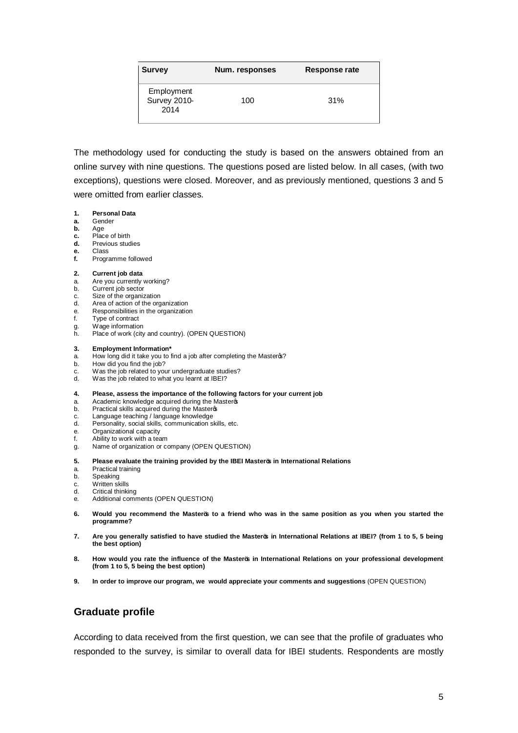| <b>Survey</b>                      | Num. responses | Response rate |  |  |
|------------------------------------|----------------|---------------|--|--|
| Employment<br>Survey 2010-<br>2014 | 100            | 31%           |  |  |

The methodology used for conducting the study is based on the answers obtained from an online survey with nine questions. The questions posed are listed below. In all cases, (with two exceptions), questions were closed. Moreover, and as previously mentioned, questions 3 and 5 were omitted from earlier classes.

- **1. Personal Data**
- **a.** Gender
- **b.** Age
- **c.** Place of birth<br>**d.** Previous stud **d.** Previous studies
- 
- **e.** Class **f.** Programme followed

#### **2. Current job data**

- a. Are you currently working?<br>b. Current iob sector
- Current job sector
- c. Size of the organization<br>d. Area of action of the org
- Area of action of the organization
- e. Responsibilities in the organization
- f. Type of contract g. Wage information
- h. Place of work (city and country). (OPEN QUESTION)

#### **3. Employment Information\***

- a. How long did it take you to find a job after completing the Masteros?
- b. How did you find the job?
- c. Was the job related to your undergraduate studies?<br>d. Was the job related to what you learnt at IBEI?
- Was the job related to what you learnt at IBEI?

#### **4. Please, assess the importance of the following factors for your current job**

- a. Academic knowledge acquired during the Master
- b. Practical skills acquired during the Master
- c. Language teaching / language knowledge
- d. Personality, social skills, communication skills, etc.
- e. Organizational capacity
- f. Ability to work with a team
- g. Name of organization or company (OPEN QUESTION)
- **5. Please evaluate the training provided by the IBEI Master's in International Relations**
- a. Practical training
- b. Speaking
- c. Written skills<br>d. Critical thinki
- **Critical thinking**
- e. Additional comments (OPEN QUESTION)
- **6. Would you recommend the Master's to a friend who was in the same position as you when you started the programme?**
- **7. Are you generally satisfied to have studied the Master's in International Relations at IBEI? (from 1 to 5, 5 being the best option)**
- **8. How would you rate the influence of the Master's in International Relations on your professional development (from 1 to 5, 5 being the best option)**
- **9. In order to improve our program, we would appreciate your comments and suggestions** (OPEN QUESTION)

#### **Graduate profile**

According to data received from the first question, we can see that the profile of graduates who responded to the survey, is similar to overall data for IBEI students. Respondents are mostly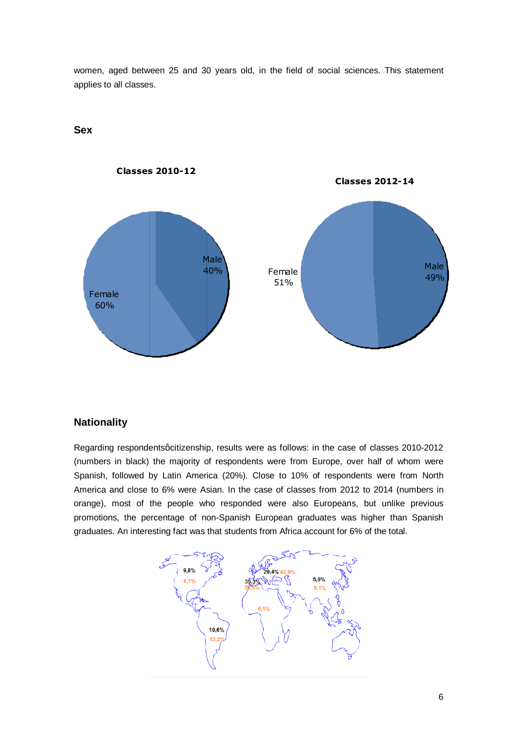women, aged between 25 and 30 years old, in the field of social sciences. This statement applies to all classes.



#### **Sex**

#### **Nationality**

Regarding respondents qcitizenship, results were as follows: in the case of classes 2010-2012 (numbers in black) the majority of respondents were from Europe, over half of whom were Spanish, followed by Latin America (20%). Close to 10% of respondents were from North America and close to 6% were Asian. In the case of classes from 2012 to 2014 (numbers in orange), most of the people who responded were also Europeans, but unlike previous promotions, the percentage of non-Spanish European graduates was higher than Spanish graduates. An interesting fact was that students from Africa account for 6% of the total.

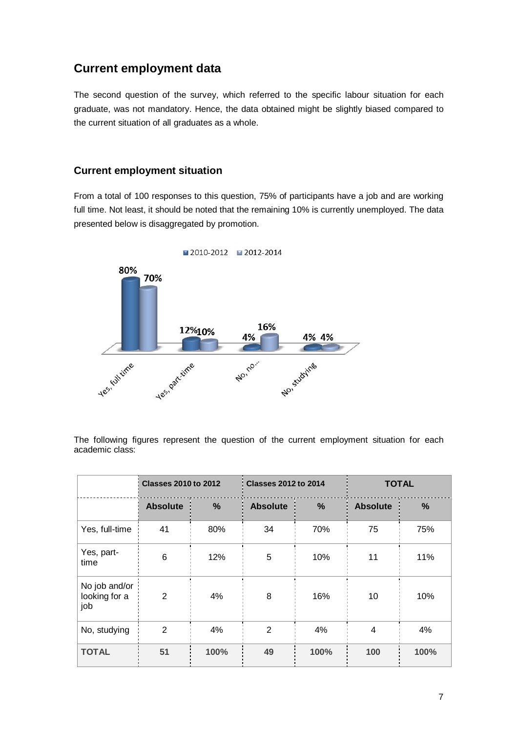## **Current employment data**

The second question of the survey, which referred to the specific labour situation for each graduate, was not mandatory. Hence, the data obtained might be slightly biased compared to the current situation of all graduates as a whole.

#### **Current employment situation**

From a total of 100 responses to this question, 75% of participants have a job and are working full time. Not least, it should be noted that the remaining 10% is currently unemployed. The data presented below is disaggregated by promotion.



The following figures represent the question of the current employment situation for each academic class:

|                                       | <b>Classes 2010 to 2012</b> |               | <b>Classes 2012 to 2014</b> |      | <b>TOTAL</b>    |      |
|---------------------------------------|-----------------------------|---------------|-----------------------------|------|-----------------|------|
|                                       | <b>Absolute</b>             | $\frac{9}{6}$ | <b>Absolute</b>             | %    | <b>Absolute</b> | %    |
| Yes, full-time                        | 41                          | 80%           | 34                          | 70%  | 75              | 75%  |
| Yes, part-<br>time                    | 6                           | 12%           | 5                           | 10%  | 11              | 11%  |
| No job and/or<br>looking for a<br>job | 2                           | 4%            | 8                           | 16%  | 10              | 10%  |
| No, studying                          | $\overline{2}$              | 4%            | $\overline{2}$              | 4%   | 4               | 4%   |
| <b>TOTAL</b>                          | 51                          | 100%          | 49                          | 100% | 100             | 100% |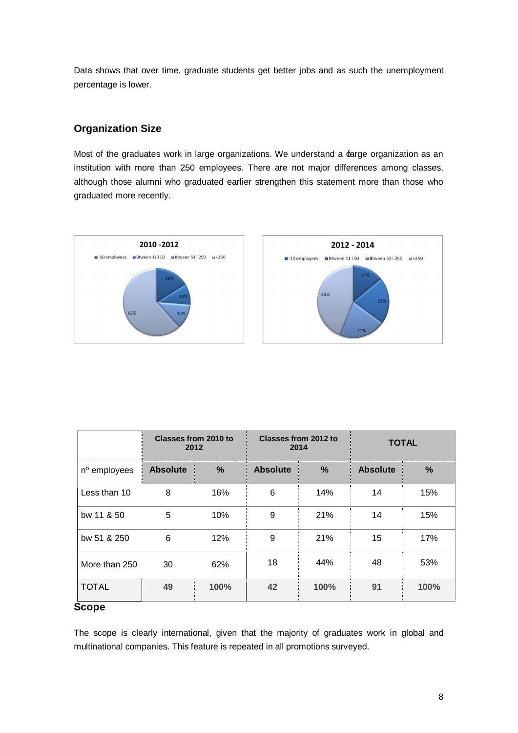Data shows that over time, graduate students get better jobs and as such the unemployment percentage is lower.

#### **Organization Size**

Most of the graduates work in large organizations. We understand a  $\pm$ arge organization as an institution with more than 250 employees. There are not major differences among classes, although those alumni who graduated earlier strengthen this statement more than those who graduated more recently.



|                    | Classes from 2010 to<br>2012 |               |                 | Classes from 2012 to<br>2014 | <b>TOTAL</b>    |      |
|--------------------|------------------------------|---------------|-----------------|------------------------------|-----------------|------|
| nº employees       | <b>Absolute</b>              | $\frac{9}{6}$ | <b>Absolute</b> | $\%$                         | <b>Absolute</b> | %    |
| Less than 10       | 8                            | 16%           | 6               | 14%                          | 14              | 15%  |
| bw 11 & 50         | 5                            | 10%           | 9               | 21%                          | 14              | 15%  |
| bw 51 & 250        | 6                            | 12%           | 9               | 21%                          | 15              | 17%  |
| More than 250      | 30                           | 62%           | 18              | 44%                          | 48              | 53%  |
| <b>TOTAL</b><br>e. | 49                           | 100%          | 42              | 100%                         | 91              | 100% |

## **Scope**

The scope is clearly international, given that the majority of graduates work in global and multinational companies. This feature is repeated in all promotions surveyed.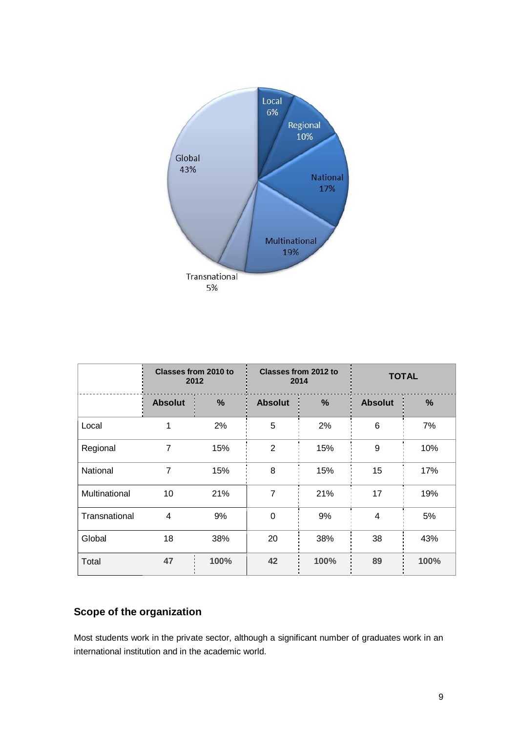

|               | <b>Classes from 2010 to</b><br>2012 |      | Classes from 2012 to<br>2014 |      | <b>TOTAL</b>   |      |
|---------------|-------------------------------------|------|------------------------------|------|----------------|------|
|               | <b>Absolut</b>                      | %    | <b>Absolut</b>               | %    | <b>Absolut</b> | %    |
| Local         | 1                                   | 2%   | 5                            | 2%   | 6              | 7%   |
| Regional      | $\overline{7}$                      | 15%  | $\overline{2}$               | 15%  | 9              | 10%  |
| National      | $\overline{7}$                      | 15%  | 8                            | 15%  | 15             | 17%  |
| Multinational | 10                                  | 21%  | $\overline{7}$               | 21%  | 17             | 19%  |
| Transnational | 4                                   | 9%   | $\Omega$                     | 9%   | 4              | 5%   |
| Global        | 18                                  | 38%  | 20                           | 38%  | 38             | 43%  |
| Total         | 47                                  | 100% | 42                           | 100% | 89             | 100% |

## **Scope of the organization**

Most students work in the private sector, although a significant number of graduates work in an international institution and in the academic world.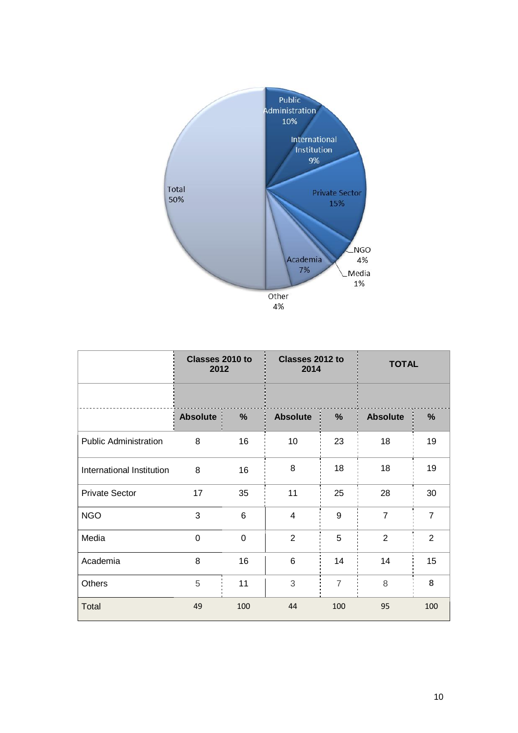

|                              | Classes 2010 to<br>2012 |                | Classes 2012 to<br>2014 |                | <b>TOTAL</b>    |                |  |
|------------------------------|-------------------------|----------------|-------------------------|----------------|-----------------|----------------|--|
|                              |                         |                |                         |                |                 |                |  |
|                              | <b>Absolute</b>         | %              | <b>Absolute</b>         | %              | <b>Absolute</b> | %              |  |
| <b>Public Administration</b> | 8                       | 16             | 10                      | 23             | 18              | 19             |  |
| International Institution    | 8                       | 16             | 8                       | 18             | 18              | 19             |  |
| <b>Private Sector</b>        | 17                      | 35             | 11                      | 25             | 28              | 30             |  |
| <b>NGO</b>                   | 3                       | $6\phantom{1}$ | 4                       | 9              | $\overline{7}$  | $\overline{7}$ |  |
| Media                        | 0                       | $\mathbf 0$    | $\overline{2}$          | 5              | $\overline{2}$  | $\overline{2}$ |  |
| Academia                     | 8                       | 16             | 6                       | 14             | 14              | 15             |  |
| <b>Others</b>                | 5                       | 11             | 3                       | $\overline{7}$ | 8               | 8              |  |
| Total                        | 49                      | 100            | 44                      | 100            | 95              | 100            |  |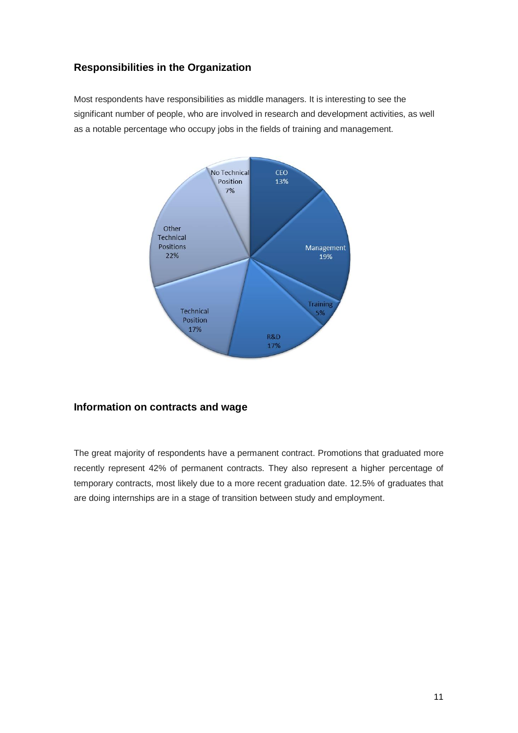#### **Responsibilities in the Organization**

Most respondents have responsibilities as middle managers. It is interesting to see the significant number of people, who are involved in research and development activities, as well as a notable percentage who occupy jobs in the fields of training and management.



#### **Information on contracts and wage**

The great majority of respondents have a permanent contract. Promotions that graduated more recently represent 42% of permanent contracts. They also represent a higher percentage of temporary contracts, most likely due to a more recent graduation date. 12.5% of graduates that are doing internships are in a stage of transition between study and employment.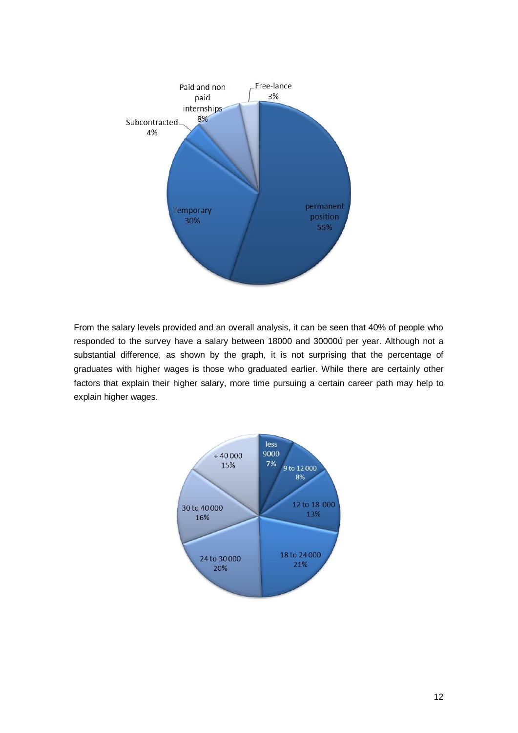

From the salary levels provided and an overall analysis, it can be seen that 40% of people who responded to the survey have a salary between 18000 and 30000" per year. Although not a substantial difference, as shown by the graph, it is not surprising that the percentage of graduates with higher wages is those who graduated earlier. While there are certainly other factors that explain their higher salary, more time pursuing a certain career path may help to explain higher wages.

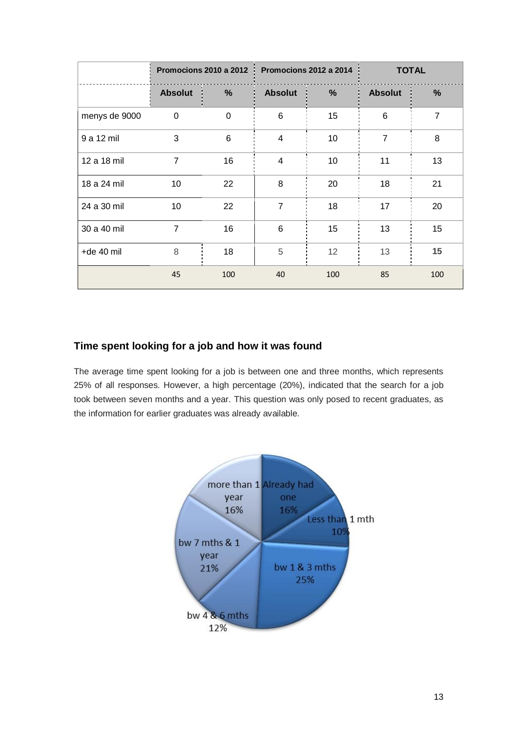|               | Promocions 2010 a 2012 |          |                | Promocions 2012 a 2014 | <b>TOTAL</b>   |                |
|---------------|------------------------|----------|----------------|------------------------|----------------|----------------|
|               | <b>Absolut</b>         | %        | <b>Absolut</b> | %                      | <b>Absolut</b> | %              |
| menys de 9000 | 0                      | $\Omega$ | 6              | 15                     | 6              | $\overline{7}$ |
| 9 a 12 mil    | 3                      | 6        | $\overline{4}$ | 10                     | $\overline{7}$ | 8              |
| 12 a 18 mil   | $\overline{7}$         | 16       | $\overline{4}$ | 10                     | 11             | 13             |
| 18 a 24 mil   | 10                     | 22       | 8              | 20                     | 18             | 21             |
| 24 a 30 mil   | 10                     | 22       | $\overline{7}$ | 18                     | 17             | 20             |
| 30 a 40 mil   | $\overline{7}$         | 16       | 6              | 15                     | 13             | 15             |
| $+de$ 40 mil  | 8                      | 18       | 5              | 12                     | 13             | 15             |
|               | 45                     | 100      | 40             | 100                    | 85             | 100            |

#### **Time spent looking for a job and how it was found**

The average time spent looking for a job is between one and three months, which represents 25% of all responses. However, a high percentage (20%), indicated that the search for a job took between seven months and a year. This question was only posed to recent graduates, as the information for earlier graduates was already available.

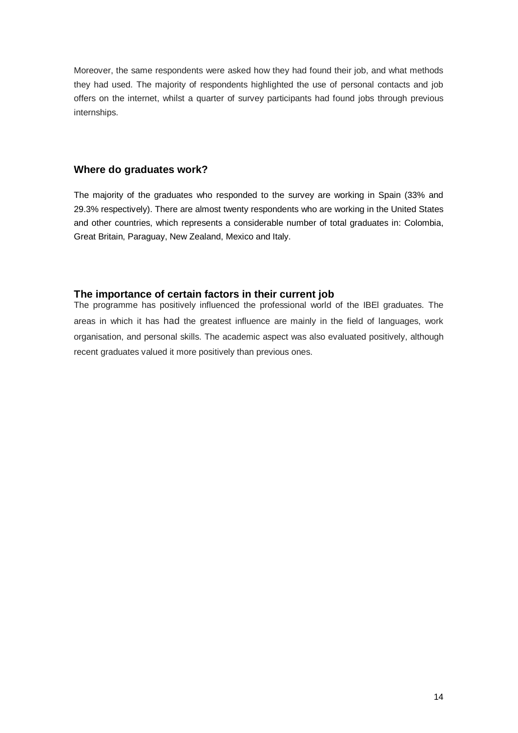Moreover, the same respondents were asked how they had found their job, and what methods they had used. The majority of respondents highlighted the use of personal contacts and job offers on the internet, whilst a quarter of survey participants had found jobs through previous internships.

#### **Where do graduates work?**

The majority of the graduates who responded to the survey are working in Spain (33% and 29.3% respectively). There are almost twenty respondents who are working in the United States and other countries, which represents a considerable number of total graduates in: Colombia, Great Britain, Paraguay, New Zealand, Mexico and Italy.

#### **The importance of certain factors in their current job**

The programme has positively influenced the professional world of the IBEl graduates. The areas in which it has had the greatest influence are mainly in the field of languages, work organisation, and personal skills. The academic aspect was also evaluated positively, although recent graduates valued it more positively than previous ones.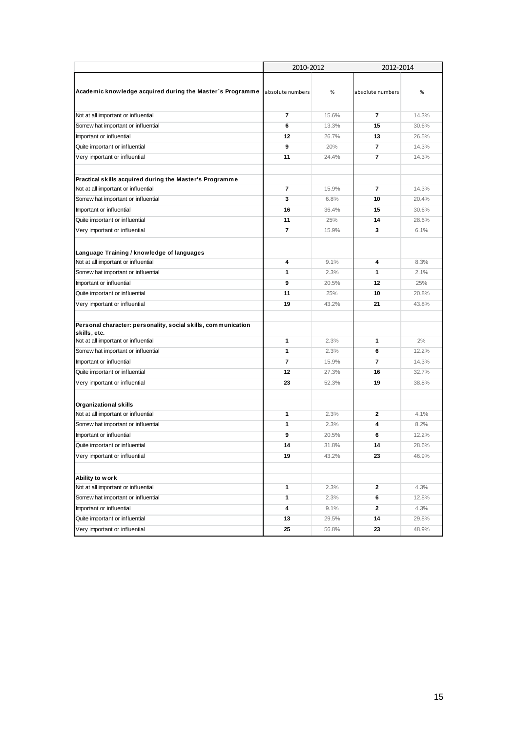|                                                                                                                      | 2010-2012      |       | 2012-2014        |       |
|----------------------------------------------------------------------------------------------------------------------|----------------|-------|------------------|-------|
| Academic knowledge acquired during the Master's Programme absolute numbers                                           |                | %     | absolute numbers | %     |
| Not at all important or influential                                                                                  | $\overline{7}$ | 15.6% | $\overline{7}$   | 14.3% |
| Somew hat important or influential                                                                                   | 6              | 13.3% | 15               | 30.6% |
| Important or influential                                                                                             | 12             | 26.7% | 13               | 26.5% |
| Quite important or influential                                                                                       | 9              | 20%   | $\overline{7}$   | 14.3% |
| Very important or influential                                                                                        | 11             | 24.4% | $\overline{7}$   | 14.3% |
| Practical skills acquired during the Master's Programme                                                              |                |       |                  |       |
| Not at all important or influential                                                                                  | $\overline{7}$ | 15.9% | $\overline{7}$   | 14.3% |
| Somew hat important or influential                                                                                   | 3              | 6.8%  | 10               | 20.4% |
| Important or influential                                                                                             | 16             | 36.4% | 15               | 30.6% |
| Quite important or influential                                                                                       | 11             | 25%   | 14               | 28.6% |
| Very important or influential                                                                                        | $\overline{7}$ | 15.9% | 3                | 6.1%  |
| Language Training / knowledge of languages                                                                           |                |       |                  |       |
| Not at all important or influential                                                                                  | 4              | 9.1%  | 4                | 8.3%  |
| Somew hat important or influential                                                                                   | 1              | 2.3%  | 1                | 2.1%  |
| Important or influential                                                                                             | 9              | 20.5% | 12               | 25%   |
| Quite important or influential                                                                                       | 11             | 25%   | 10               | 20.8% |
| Very important or influential                                                                                        | 19             | 43.2% | 21               | 43.8% |
| Personal character: personality, social skills, communication<br>skills, etc.<br>Not at all important or influential | 1              | 2.3%  | 1                | 2%    |
| Somew hat important or influential                                                                                   | 1              | 2.3%  | 6                | 12.2% |
| Important or influential                                                                                             | $\overline{7}$ | 15.9% | $\overline{7}$   | 14.3% |
| Quite important or influential                                                                                       | 12             | 27.3% | 16               | 32.7% |
| Very important or influential                                                                                        | 23             | 52.3% | 19               | 38.8% |
| <b>Organizational skills</b>                                                                                         |                |       |                  |       |
| Not at all important or influential                                                                                  | $\mathbf{1}$   | 2.3%  | $\overline{2}$   | 4.1%  |
| Somew hat important or influential                                                                                   | $\mathbf{1}$   | 2.3%  | 4                | 8.2%  |
| Important or influential                                                                                             | 9              | 20.5% | 6                | 12.2% |
| Quite important or influential                                                                                       | 14             | 31.8% | 14               | 28.6% |
| Very important or influential                                                                                        | 19             | 43.2% | 23               | 46.9% |
| Ability to work                                                                                                      |                |       |                  |       |
| Not at all important or influential                                                                                  | 1              | 2.3%  | $\mathbf{2}$     | 4.3%  |
| Somew hat important or influential                                                                                   | $\mathbf{1}$   | 2.3%  | 6                | 12.8% |
| Important or influential                                                                                             | 4              | 9.1%  | $\mathbf{2}$     | 4.3%  |
| Quite important or influential                                                                                       | 13             | 29.5% | 14               | 29.8% |
| Very important or influential                                                                                        | 25             | 56.8% | 23               | 48.9% |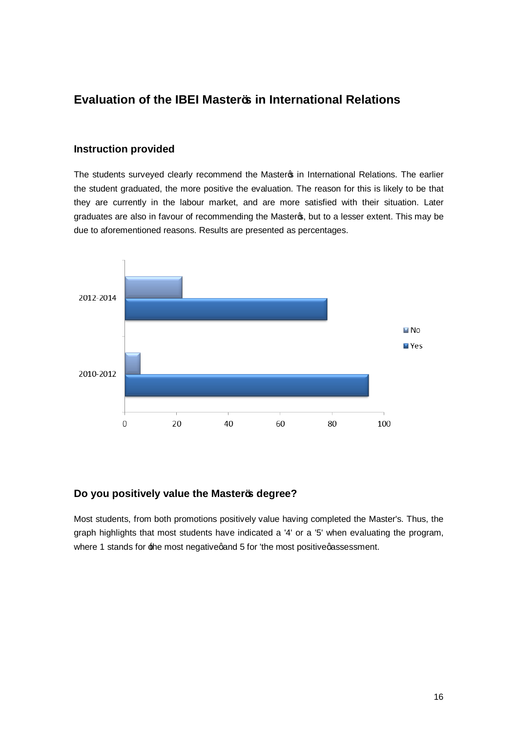### **Evaluation of the IBEI Master's in International Relations**

#### **Instruction provided**

The students surveyed clearly recommend the Master in International Relations. The earlier the student graduated, the more positive the evaluation. The reason for this is likely to be that they are currently in the labour market, and are more satisfied with their situation. Later graduates are also in favour of recommending the Masters, but to a lesser extent. This may be due to aforementioned reasons. Results are presented as percentages.



#### **Do you positively value the Master's degree?**

Most students, from both promotions positively value having completed the Master's. Thus, the graph highlights that most students have indicated a '4' or a '5' when evaluating the program, where 1 stands for the most negative qand 5 for 'the most positive qassessment.